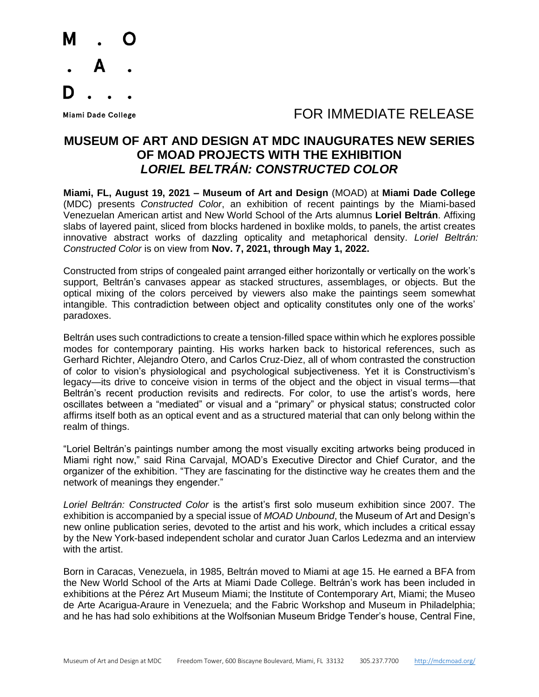

**Miami Dade College** 

## FOR IMMEDIATE RELEASE

## **MUSEUM OF ART AND DESIGN AT MDC INAUGURATES NEW SERIES OF MOAD PROJECTS WITH THE EXHIBITION** *LORIEL BELTRÁN: CONSTRUCTED COLOR*

**Miami, FL, August 19, 2021 – Museum of Art and Design** (MOAD) at **Miami Dade College** (MDC) presents *Constructed Color*, an exhibition of recent paintings by the Miami-based Venezuelan American artist and New World School of the Arts alumnus **Loriel Beltrán**. Affixing slabs of layered paint, sliced from blocks hardened in boxlike molds, to panels, the artist creates innovative abstract works of dazzling opticality and metaphorical density. *Loriel Beltrán: Constructed Color* is on view from **Nov. 7, 2021, through May 1, 2022.**

Constructed from strips of congealed paint arranged either horizontally or vertically on the work's support, Beltrán's canvases appear as stacked structures, assemblages, or objects. But the optical mixing of the colors perceived by viewers also make the paintings seem somewhat intangible. This contradiction between object and opticality constitutes only one of the works' paradoxes.

Beltrán uses such contradictions to create a tension-filled space within which he explores possible modes for contemporary painting. His works harken back to historical references, such as Gerhard Richter, Alejandro Otero, and Carlos Cruz-Diez, all of whom contrasted the construction of color to vision's physiological and psychological subjectiveness. Yet it is Constructivism's legacy—its drive to conceive vision in terms of the object and the object in visual terms—that Beltrán's recent production revisits and redirects. For color, to use the artist's words, here oscillates between a "mediated" or visual and a "primary" or physical status; constructed color affirms itself both as an optical event and as a structured material that can only belong within the realm of things.

"Loriel Beltrán's paintings number among the most visually exciting artworks being produced in Miami right now," said Rina Carvajal, MOAD's Executive Director and Chief Curator, and the organizer of the exhibition. "They are fascinating for the distinctive way he creates them and the network of meanings they engender."

*Loriel Beltrán: Constructed Color* is the artist's first solo museum exhibition since 2007. The exhibition is accompanied by a special issue of *MOAD Unbound*, the Museum of Art and Design's new online publication series, devoted to the artist and his work, which includes a critical essay by the New York-based independent scholar and curator Juan Carlos Ledezma and an interview with the artist.

Born in Caracas, Venezuela, in 1985, Beltrán moved to Miami at age 15. He earned a BFA from the New World School of the Arts at Miami Dade College. Beltrán's work has been included in exhibitions at the Pérez Art Museum Miami; the Institute of Contemporary Art, Miami; the Museo de Arte Acarigua-Araure in Venezuela; and the Fabric Workshop and Museum in Philadelphia; and he has had solo exhibitions at the Wolfsonian Museum Bridge Tender's house, Central Fine,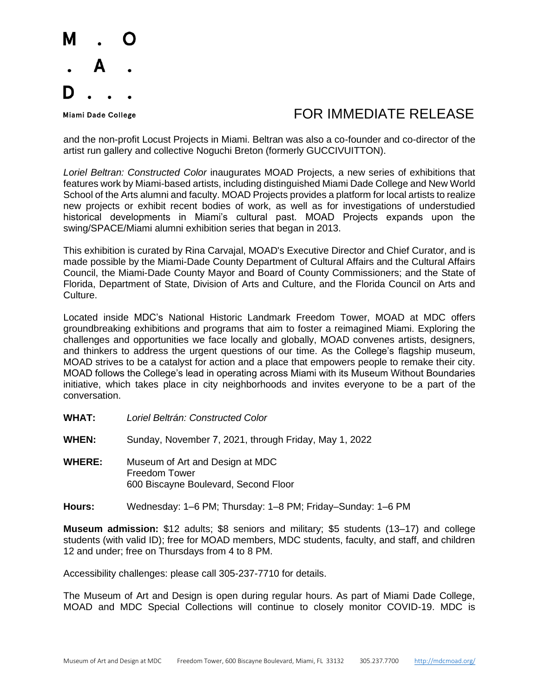

**Miami Dade College** 

## FOR IMMEDIATE RELEASE

and the non-profit Locust Projects in Miami. Beltran was also a co-founder and co-director of the artist run gallery and collective Noguchi Breton (formerly GUCCIVUITTON).

*Loriel Beltran: Constructed Color* inaugurates MOAD Projects, a new series of exhibitions that features work by Miami-based artists, including distinguished Miami Dade College and New World School of the Arts alumni and faculty. MOAD Projects provides a platform for local artists to realize new projects or exhibit recent bodies of work, as well as for investigations of understudied historical developments in Miami's cultural past. MOAD Projects expands upon the swing/SPACE/Miami alumni exhibition series that began in 2013.

This exhibition is curated by Rina Carvajal, MOAD's Executive Director and Chief Curator, and is made possible by the Miami-Dade County Department of Cultural Affairs and the Cultural Affairs Council, the Miami-Dade County Mayor and Board of County Commissioners; and the State of Florida, Department of State, Division of Arts and Culture, and the Florida Council on Arts and Culture.

Located inside MDC's National Historic Landmark Freedom Tower, MOAD at MDC offers groundbreaking exhibitions and programs that aim to foster a reimagined Miami. Exploring the challenges and opportunities we face locally and globally, MOAD convenes artists, designers, and thinkers to address the urgent questions of our time. As the College's flagship museum, MOAD strives to be a catalyst for action and a place that empowers people to remake their city. MOAD follows the College's lead in operating across Miami with its Museum Without Boundaries initiative, which takes place in city neighborhoods and invites everyone to be a part of the conversation.

- **WHAT:** *Loriel Beltrán: Constructed Color*
- **WHEN:** Sunday, November 7, 2021, through Friday, May 1, 2022
- **WHERE:** Museum of Art and Design at MDC Freedom Tower 600 Biscayne Boulevard, Second Floor
- **Hours:** Wednesday: 1–6 PM; Thursday: 1–8 PM; Friday–Sunday: 1–6 PM

**Museum admission:** \$12 adults; \$8 seniors and military; \$5 students (13–17) and college students (with valid ID); free for MOAD members, MDC students, faculty, and staff, and children 12 and under; free on Thursdays from 4 to 8 PM.

Accessibility challenges: please call 305-237-7710 for details.

The Museum of Art and Design is open during regular hours. As part of Miami Dade College, MOAD and MDC Special Collections will continue to closely monitor COVID-19. MDC is